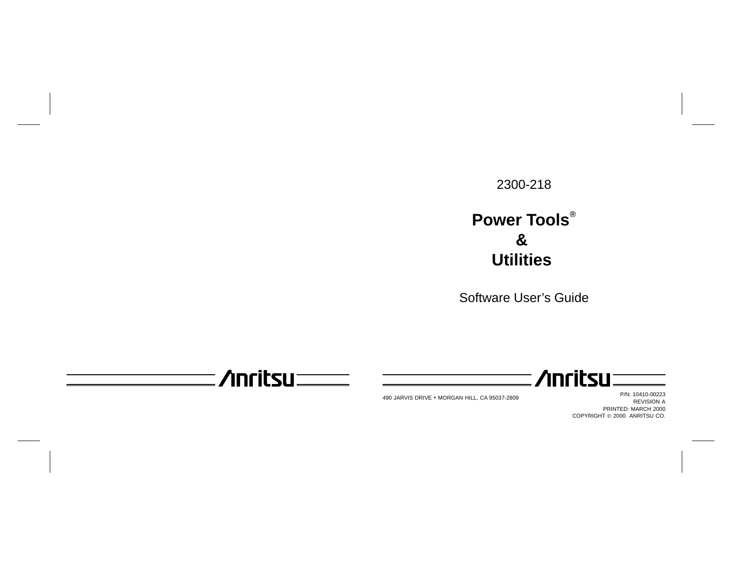## 2300-218

# **Power Tools & Utilities**

Software User's Guide

 $\Lambda$ nritsu $\equiv$ 

490 JARVIS DRIVE - MORGAN HILL, CA 95037-2809

P/N: 10410-00223 REVISION A PRINTED: MARCH 2000 COPYRIGHT © 2000 ANRITSU CO.

**/inritsu**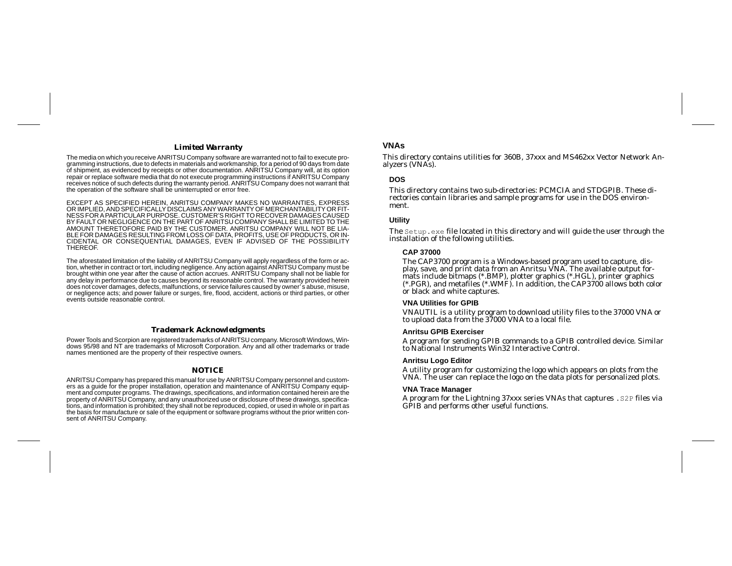#### *Limited Warranty*

The media on which you receive ANRITSU Company software are warranted not to fail to execute programming instructions, due to defects in materials and workmanship, for <sup>a</sup> period of 90 days from date of shipment, as evidenced by receipts or other documentation. ANRITSU Company will, at its option repair or replace software media that do not execute programming instructions if ANRITSU Company receives notice of such defects during the warranty period. ANRITSU Company does not warrant that the operation of the software shall be uninterrupted or error free.

EXCEPT AS SPECIFIED HEREIN, ANRITSU COMPANY MAKES NO WARRANTIES, EXPRESS OR IMPLIED, AND SPECIFICALLY DISCLAIMS ANY WARRANTY OF MERCHANTABILITY OR FIT-NESS FOR APARTICULAR PURPOSE. CUSTOMER'S RIGHT TO RECOVER DAMAGES CAUSED BY FAULT OR NEGLIGENCE ON THE PART OF ANRITSU COMPANY SHALL BE LIMITED TO THE AMOUNT THERETOFORE PAID BY THE CUSTOMER. ANRITSU COMPANY WILL NOT BE LIA-BLE FOR DAMAGES RESULTING FROM LOSS OF DATA, PROFITS, USE OF PRODUCTS, OR IN-CIDENTAL OR CONSEQUENTIAL DAMAGES, EVEN IF ADVISED OF THE POSSIBILITY THEREOF.

The aforestated limitation of the liability of ANRITSU Company will apply regardless of the form or action, whether in contract or tort, including negligence. Any action against ANRITSU Company must be brought within one year after the cause of action accrues. ANRITSU Company shall not be liable for any delay in performance due to causes beyond its reasonable control. The warranty provided herein does not cover damages, defects, malfunctions, or service failures caused by owner' <sup>s</sup> abuse, misuse, or negligence acts; and power failure or surges, fire, flood, accident, actions or third parties, or other events outside reasonable control.

#### *Trademark Acknowledgments*

Power Tools and Scorpion are registered trademarks of ANRITSU company. Microsoft Windows, Windows 95/98 and NT are trademarks of Microsoft Corporation. Any and all other trademarks or trade names mentioned are the property of their respective owners.

#### *NOTICE*

ANRITSU Company has prepared this manual for use by ANRITSU Company personnel and customers as <sup>a</sup> guide for the proper installation, operation and maintenance of ANRITSU Company equipment and computer programs. The drawings, specifications, and information contained herein are the property of ANRITSU Company, and any unauthorized use or disclosure of these drawings, specifications, and information is prohibited; they shall not be reproduced, copied, or used in whole or in part as the basis for manufacture or sale of the equipment or software programs without the prior written consent of ANRITSU Company.

## **VNAs**

This directory contains utilities for 360B, 37xxx and MS462xx Vector Network An alyzers (VNAs).

#### **DOS**

This directory contains two sub-directories: PCMCIA and STDGPIB. These directories contain libraries and sample programs for use in the DOS environment.

#### **Utility**

The Setup.exe file located in this directory and will guide the user through the installation of the following utilities.

#### **CAP 37000**

The CAP3700 program is <sup>a</sup> Windows-based program used to capture, display, save, and print data from an Anritsu VNA. The available output for mats include bitmaps (\*.BMP), <sup>p</sup>lotter graphics (\*.HGL), printer graphics (\*.PGR), and metafiles (\*.WMF). In addition, the CAP3700 allows both color or black and white captures.

#### **VNA Utilities for GPIB**

VNAUTIL is <sup>a</sup> utility program to download utility files to the 37000 VNA or to upload data from the 37000 VNA to <sup>a</sup> local file.

#### **Anritsu GPIB Exerciser**

A program for sending GPIB commands to <sup>a</sup> GPIB controlled device. Similar to National Instruments Win32 Interactive Control.

#### **Anritsu Logo Editor**

A utility program for customizing the logo which appears on plots from the VNA. The user can replace the logo on the data plots for personalized plots.

#### **VNA Trace Manager**

A program for the Lightning 37xxx series VNAs that captures .S2P files via GPIB and performs other useful functions.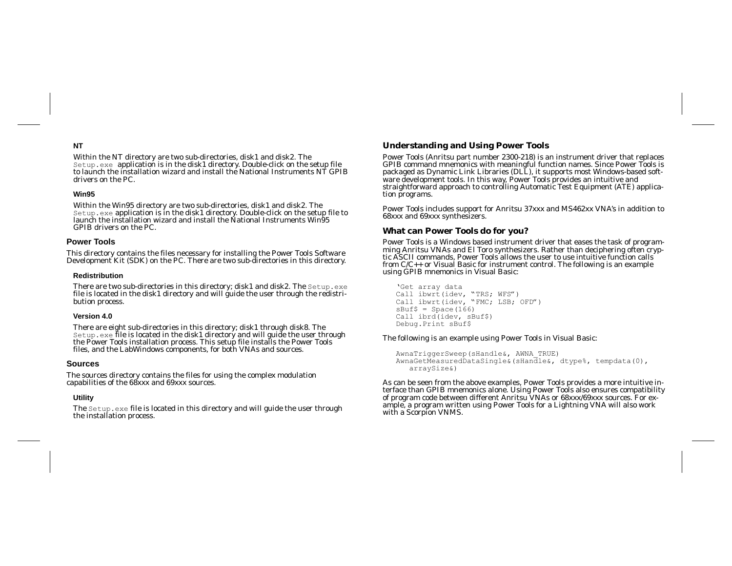## **NT**

Within the NT directory are two sub-directories, disk1 and disk2. The Setup.exe application is in the disk1 directory. Double-click on the setup file to launch the installation wizard and install the National Instruments NT GPIB drivers on the PC.

## **Win95**

Within the Win95 directory are two sub-directories, disk1 and disk2. The Setup.exe application is in the disk1 directory. Double-click on the setup file to launch the installation wizard and install the National Instruments Win95 GPIB drivers on the PC.

## **Power Tools**

This directory contains the files necessary for installing the Power Tools Software Development Kit (SDK) on the PC. There are two sub-directories in this directory.

### **Redistribution**

There are two sub-directories in this directory; disk1 and disk2. The Setup.exe file is located in the disk1 directory and will guide the user through the redistribution process.

## **Version 4.0**

There are eight sub-directories in this directory; disk1 through disk8. The Setup.exe file is located in the disk1 directory and will guide the user through the Power Tools installation process. This setup file installs the Power Tools files, and the LabWindows components, for both VNAs and sources.

## **Sources**

The sources directory contains the files for using the complex modulation capabilities of the 68xxx and 69xxx sources.

## **Utility**

The Setup.exe file is located in this directory and will guide the user through the installation process.

## **Understanding and Using Power Tools**

Power Tools (Anritsu par<sup>t</sup> number 2300-218) is an instrument driver that replaces GPIB command mnemonics with meaningful function names. Since Power Tools is packaged as Dynamic Link Libraries (DLL), it supports most Windows-based software development tools. In this way, Power Tools provides an intuitive and straightforward approach to controlling Automatic Test Equipment (ATE) application programs.

Power Tools includes suppor<sup>t</sup> for Anritsu 37xxx and MS462xx VNA's in addition to 68xxx and 69xxx synthesizers.

## **What can Power Tools do for you?**

Power Tools is <sup>a</sup> Windows based instrument driver that eases the task of programming Anritsu VNAs and El Toro synthesizers. Rather than deciphering often cryptic ASCII commands, Power Tools allows the user to use intuitive function calls from C/C++ or Visual Basic for instrument control. The following is an example using GPIB mnemonics in Visual Basic:

'Get array data Call ibwrt(idev, "TRS; WFS") Call ibwrt(idev, "FMC; LSB; OFD")  $sBuf$ = Space(166)$ Call ibrd(idev, sBuf\$) Debug.Print sBuf\$

## The following is an example using Power Tools in Visual Basic:

```
AwnaTriggerSweep(sHandle&, AWNA_TRUE)
AwnaGetMeasuredDataSingle&(sHandle&, dtype%, tempdata(0),
   arraySize&)
```
As can be seen from the above examples, Power Tools provides <sup>a</sup> more intuitive interface than GPIB mnemonics alone. Using Power Tools also ensures compatibility of program code between different Anritsu VNAs or 68xxx/69xxx sources. For example, <sup>a</sup> program written using Power Tools for <sup>a</sup> Lightning VNA will also work with <sup>a</sup> Scorpion VNMS.